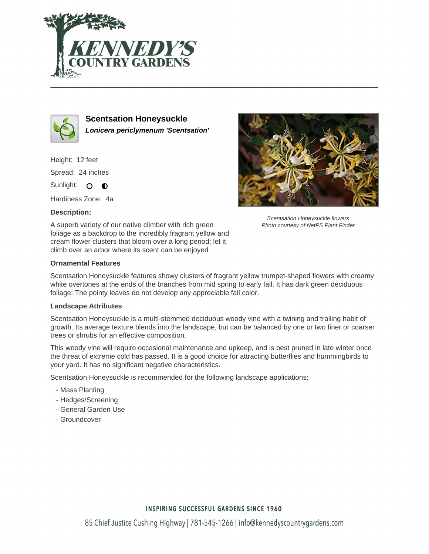



**Scentsation Honeysuckle Lonicera periclymenum 'Scentsation'**

Height: 12 feet Spread: 24 inches Sunlight: O **O** 

Hardiness Zone: 4a

# **Description:**



### **Ornamental Features**

Scentsation Honeysuckle features showy clusters of fragrant yellow trumpet-shaped flowers with creamy white overtones at the ends of the branches from mid spring to early fall. It has dark green deciduous foliage. The pointy leaves do not develop any appreciable fall color.

#### **Landscape Attributes**

Scentsation Honeysuckle is a multi-stemmed deciduous woody vine with a twining and trailing habit of growth. Its average texture blends into the landscape, but can be balanced by one or two finer or coarser trees or shrubs for an effective composition.

This woody vine will require occasional maintenance and upkeep, and is best pruned in late winter once the threat of extreme cold has passed. It is a good choice for attracting butterflies and hummingbirds to your yard. It has no significant negative characteristics.

Scentsation Honeysuckle is recommended for the following landscape applications;

- Mass Planting
- Hedges/Screening
- General Garden Use
- Groundcover



Scentsation Honeysuckle flowers Photo courtesy of NetPS Plant Finder

# **INSPIRING SUCCESSFUL GARDENS SINCE 1960**